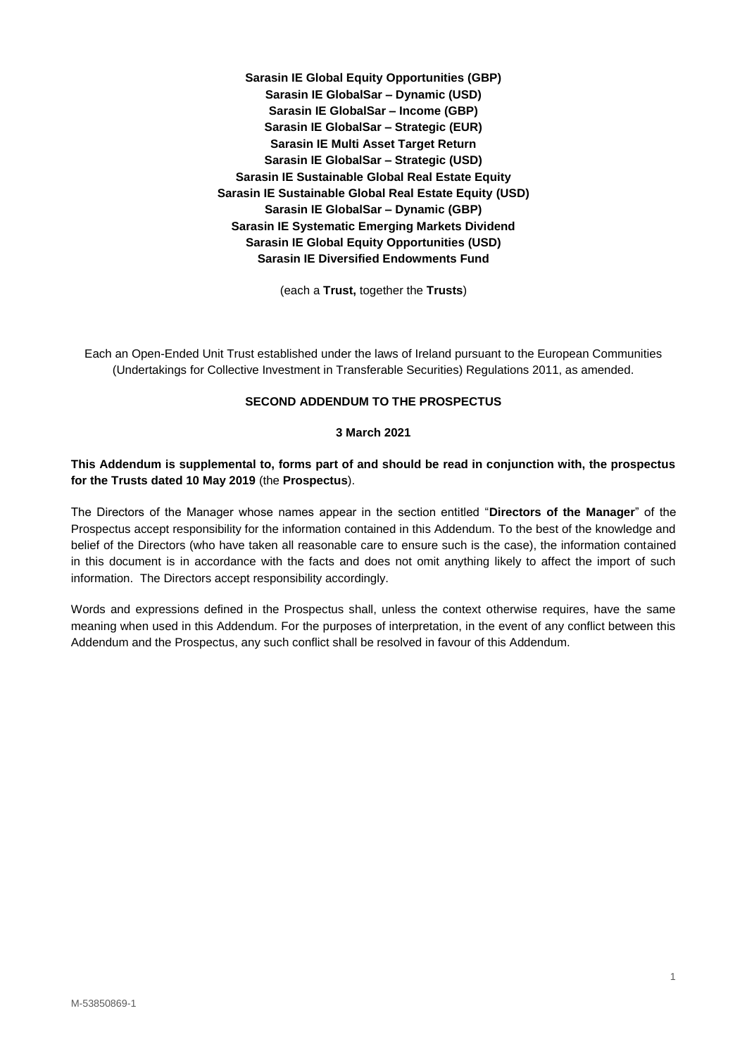**Sarasin IE Global Equity Opportunities (GBP) Sarasin IE GlobalSar – Dynamic (USD) Sarasin IE GlobalSar – Income (GBP) Sarasin IE GlobalSar – Strategic (EUR) Sarasin IE Multi Asset Target Return Sarasin IE GlobalSar – Strategic (USD) Sarasin IE Sustainable Global Real Estate Equity Sarasin IE Sustainable Global Real Estate Equity (USD) Sarasin IE GlobalSar – Dynamic (GBP) Sarasin IE Systematic Emerging Markets Dividend Sarasin IE Global Equity Opportunities (USD) Sarasin IE Diversified Endowments Fund** 

(each a **Trust,** together the **Trusts**)

Each an Open-Ended Unit Trust established under the laws of Ireland pursuant to the European Communities (Undertakings for Collective Investment in Transferable Securities) Regulations 2011, as amended.

# **SECOND ADDENDUM TO THE PROSPECTUS**

### **3 March 2021**

# **This Addendum is supplemental to, forms part of and should be read in conjunction with, the prospectus for the Trusts dated 10 May 2019** (the **Prospectus**).

The Directors of the Manager whose names appear in the section entitled "**Directors of the Manager**" of the Prospectus accept responsibility for the information contained in this Addendum. To the best of the knowledge and belief of the Directors (who have taken all reasonable care to ensure such is the case), the information contained in this document is in accordance with the facts and does not omit anything likely to affect the import of such information. The Directors accept responsibility accordingly.

Words and expressions defined in the Prospectus shall, unless the context otherwise requires, have the same meaning when used in this Addendum. For the purposes of interpretation, in the event of any conflict between this Addendum and the Prospectus, any such conflict shall be resolved in favour of this Addendum.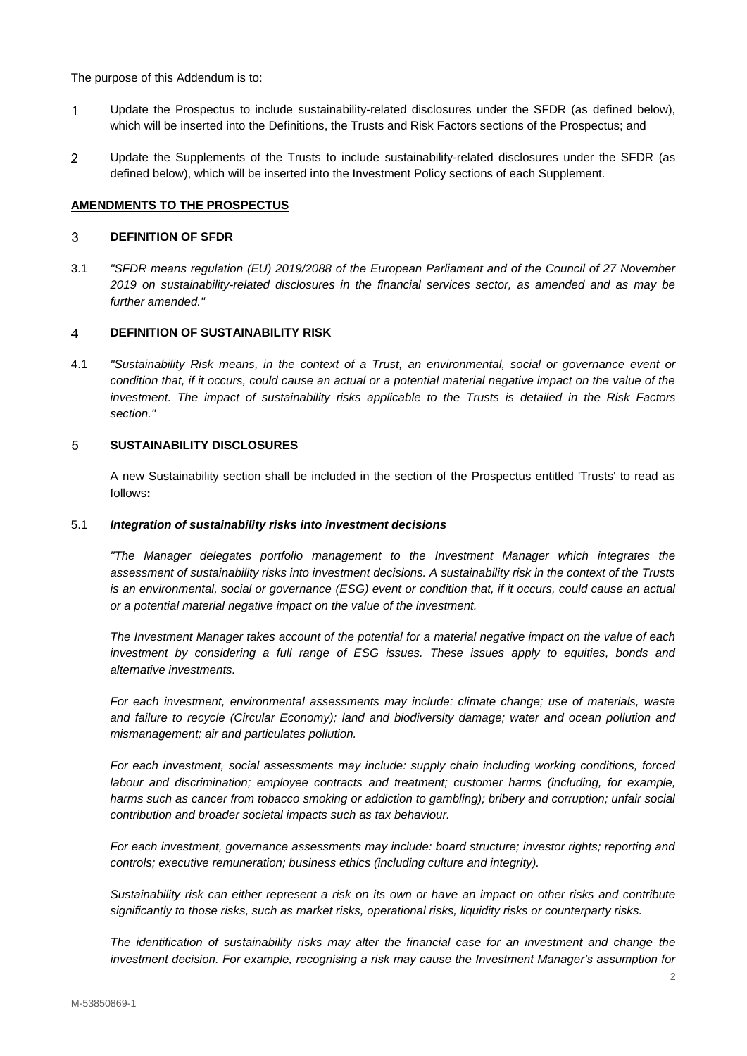The purpose of this Addendum is to:

- Update the Prospectus to include sustainability-related disclosures under the SFDR (as defined below),  $\mathbf{1}$ which will be inserted into the Definitions, the Trusts and Risk Factors sections of the Prospectus; and
- $\overline{2}$ Update the Supplements of the Trusts to include sustainability-related disclosures under the SFDR (as defined below), which will be inserted into the Investment Policy sections of each Supplement.

# **AMENDMENTS TO THE PROSPECTUS**

#### **DEFINITION OF SFDR** 3

3.1 *"SFDR means regulation (EU) 2019/2088 of the European Parliament and of the Council of 27 November 2019 on sustainability-related disclosures in the financial services sector, as amended and as may be further amended."*

#### $\overline{4}$ **DEFINITION OF SUSTAINABILITY RISK**

4.1 *"Sustainability Risk means, in the context of a Trust, an environmental, social or governance event or condition that, if it occurs, could cause an actual or a potential material negative impact on the value of the investment. The impact of sustainability risks applicable to the Trusts is detailed in the Risk Factors section."*

### $\overline{5}$ **SUSTAINABILITY DISCLOSURES**

A new Sustainability section shall be included in the section of the Prospectus entitled 'Trusts' to read as follows**:** 

### 5.1 *Integration of sustainability risks into investment decisions*

*"The Manager delegates portfolio management to the Investment Manager which integrates the assessment of sustainability risks into investment decisions. A sustainability risk in the context of the Trusts is an environmental, social or governance (ESG) event or condition that, if it occurs, could cause an actual or a potential material negative impact on the value of the investment.* 

*The Investment Manager takes account of the potential for a material negative impact on the value of each investment by considering a full range of ESG issues. These issues apply to equities, bonds and alternative investments.* 

*For each investment, environmental assessments may include: climate change; use of materials, waste and failure to recycle (Circular Economy); land and biodiversity damage; water and ocean pollution and mismanagement; air and particulates pollution.* 

*For each investment, social assessments may include: supply chain including working conditions, forced labour and discrimination; employee contracts and treatment; customer harms (including, for example, harms such as cancer from tobacco smoking or addiction to gambling); bribery and corruption; unfair social contribution and broader societal impacts such as tax behaviour.* 

*For each investment, governance assessments may include: board structure; investor rights; reporting and controls; executive remuneration; business ethics (including culture and integrity).* 

*Sustainability risk can either represent a risk on its own or have an impact on other risks and contribute significantly to those risks, such as market risks, operational risks, liquidity risks or counterparty risks.* 

*The identification of sustainability risks may alter the financial case for an investment and change the investment decision. For example, recognising a risk may cause the Investment Manager's assumption for*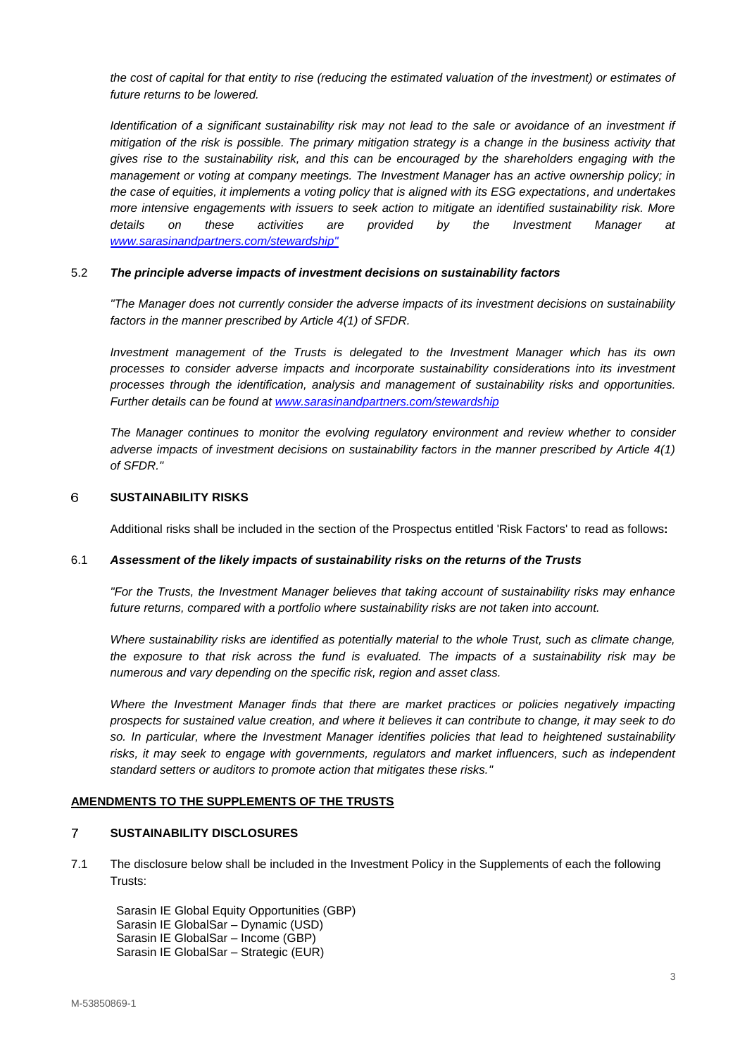*the cost of capital for that entity to rise (reducing the estimated valuation of the investment) or estimates of future returns to be lowered.* 

*Identification of a significant sustainability risk may not lead to the sale or avoidance of an investment if mitigation of the risk is possible. The primary mitigation strategy is a change in the business activity that gives rise to the sustainability risk, and this can be encouraged by the shareholders engaging with the management or voting at company meetings. The Investment Manager has an active ownership policy; in the case of equities, it implements a voting policy that is aligned with its ESG expectations, and undertakes more intensive engagements with issuers to seek action to mitigate an identified sustainability risk. More details on these activities are provided by the Investment Manager at [www.sarasinandpartners.com/stewardship"](http://www.sarasinandpartners.com/stewardship)*

# 5.2 *The principle adverse impacts of investment decisions on sustainability factors*

*"The Manager does not currently consider the adverse impacts of its investment decisions on sustainability factors in the manner prescribed by Article 4(1) of SFDR.*

*Investment management of the Trusts is delegated to the Investment Manager which has its own processes to consider adverse impacts and incorporate sustainability considerations into its investment processes through the identification, analysis and management of sustainability risks and opportunities. Further details can be found at [www.sarasinandpartners.com/stewardship](http://www.sarasinandpartners.com/stewardship)*

*The Manager continues to monitor the evolving regulatory environment and review whether to consider adverse impacts of investment decisions on sustainability factors in the manner prescribed by Article 4(1) of SFDR."*

#### 6 **SUSTAINABILITY RISKS**

Additional risks shall be included in the section of the Prospectus entitled 'Risk Factors' to read as follows**:** 

### 6.1 *Assessment of the likely impacts of sustainability risks on the returns of the Trusts*

*"For the Trusts, the Investment Manager believes that taking account of sustainability risks may enhance future returns, compared with a portfolio where sustainability risks are not taken into account.*

*Where sustainability risks are identified as potentially material to the whole Trust, such as climate change, the exposure to that risk across the fund is evaluated. The impacts of a sustainability risk may be numerous and vary depending on the specific risk, region and asset class.* 

*Where the Investment Manager finds that there are market practices or policies negatively impacting prospects for sustained value creation, and where it believes it can contribute to change, it may seek to do so. In particular, where the Investment Manager identifies policies that lead to heightened sustainability risks, it may seek to engage with governments, regulators and market influencers, such as independent standard setters or auditors to promote action that mitigates these risks."*

### **AMENDMENTS TO THE SUPPLEMENTS OF THE TRUSTS**

### $\overline{7}$ **SUSTAINABILITY DISCLOSURES**

7.1 The disclosure below shall be included in the Investment Policy in the Supplements of each the following Trusts:

Sarasin IE Global Equity Opportunities (GBP) Sarasin IE GlobalSar – Dynamic (USD) Sarasin IE GlobalSar – Income (GBP) Sarasin IE GlobalSar – Strategic (EUR)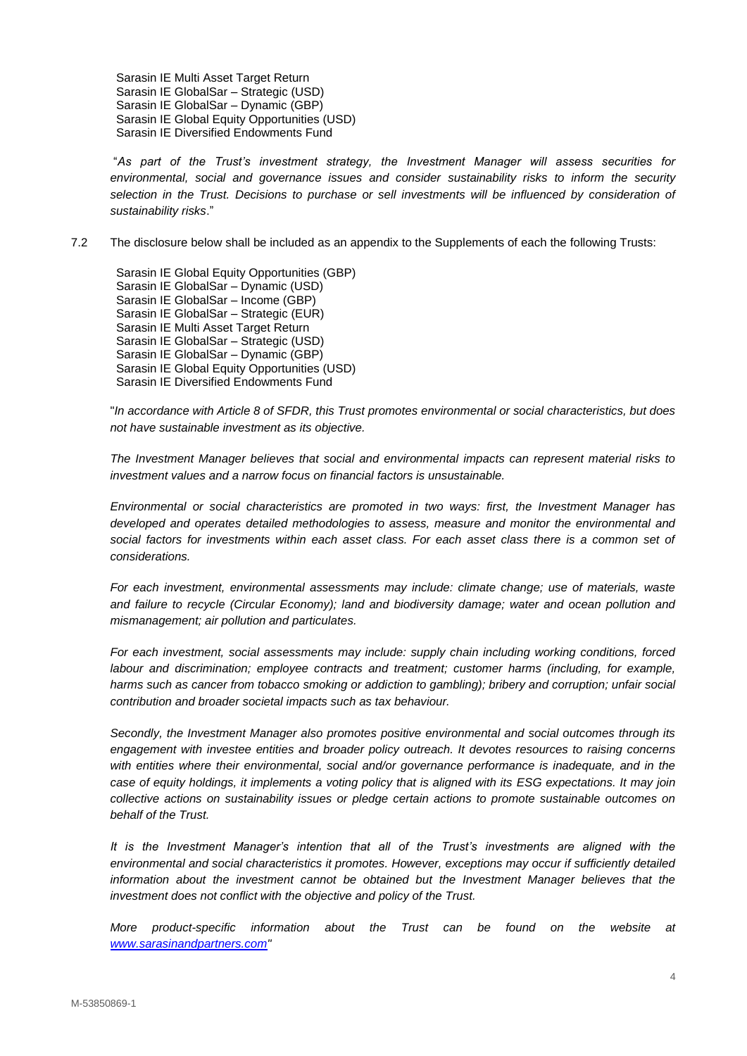Sarasin IE Multi Asset Target Return Sarasin IE GlobalSar – Strategic (USD) Sarasin IE GlobalSar – Dynamic (GBP) Sarasin IE Global Equity Opportunities (USD) Sarasin IE Diversified Endowments Fund

"*As part of the Trust's investment strategy, the Investment Manager will assess securities for environmental, social and governance issues and consider sustainability risks to inform the security selection in the Trust. Decisions to purchase or sell investments will be influenced by consideration of sustainability risks*."

7.2 The disclosure below shall be included as an appendix to the Supplements of each the following Trusts:

Sarasin IE Global Equity Opportunities (GBP) Sarasin IE GlobalSar – Dynamic (USD) Sarasin IE GlobalSar – Income (GBP) Sarasin IE GlobalSar – Strategic (EUR) Sarasin IE Multi Asset Target Return Sarasin IE GlobalSar – Strategic (USD) Sarasin IE GlobalSar – Dynamic (GBP) Sarasin IE Global Equity Opportunities (USD) Sarasin IE Diversified Endowments Fund

"*In accordance with Article 8 of SFDR, this Trust promotes environmental or social characteristics, but does not have sustainable investment as its objective.* 

*The Investment Manager believes that social and environmental impacts can represent material risks to investment values and a narrow focus on financial factors is unsustainable.*

*Environmental or social characteristics are promoted in two ways: first, the Investment Manager has developed and operates detailed methodologies to assess, measure and monitor the environmental and social factors for investments within each asset class. For each asset class there is a common set of considerations.*

*For each investment, environmental assessments may include: climate change; use of materials, waste and failure to recycle (Circular Economy); land and biodiversity damage; water and ocean pollution and mismanagement; air pollution and particulates.*

*For each investment, social assessments may include: supply chain including working conditions, forced labour and discrimination; employee contracts and treatment; customer harms (including, for example, harms such as cancer from tobacco smoking or addiction to gambling); bribery and corruption; unfair social contribution and broader societal impacts such as tax behaviour.*

*Secondly, the Investment Manager also promotes positive environmental and social outcomes through its engagement with investee entities and broader policy outreach. It devotes resources to raising concerns with entities where their environmental, social and/or governance performance is inadequate, and in the case of equity holdings, it implements a voting policy that is aligned with its ESG expectations. It may join collective actions on sustainability issues or pledge certain actions to promote sustainable outcomes on behalf of the Trust.* 

*It is the Investment Manager's intention that all of the Trust's investments are aligned with the environmental and social characteristics it promotes. However, exceptions may occur if sufficiently detailed information about the investment cannot be obtained but the Investment Manager believes that the investment does not conflict with the objective and policy of the Trust.*

*More product-specific information about the Trust can be found on the website at [www.sarasinandpartners.com"](http://www.sarasinandpartners.com/)*